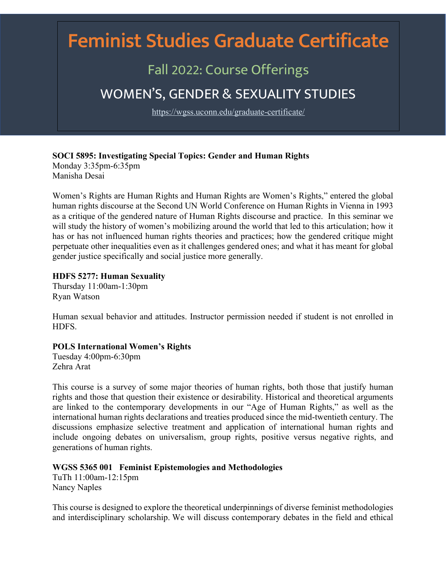# Feminist Studies Graduate Certificate

## Fall 2022: Course Offerings

## WOMEN'S, GENDER & SEXUALITY STUDIES

https://wgss.uconn.edu/graduate-certificate/

#### **SOCI 5895: Investigating Special Topics: Gender and Human Rights** Monday 3:35pm-6:35pm

Manisha Desai

Women's Rights are Human Rights and Human Rights are Women's Rights," entered the global human rights discourse at the Second UN World Conference on Human Rights in Vienna in 1993 as a critique of the gendered nature of Human Rights discourse and practice. In this seminar we will study the history of women's mobilizing around the world that led to this articulation; how it has or has not influenced human rights theories and practices; how the gendered critique might perpetuate other inequalities even as it challenges gendered ones; and what it has meant for global gender justice specifically and social justice more generally.

#### **HDFS 5277: Human Sexuality**

Thursday 11:00am-1:30pm Ryan Watson

Human sexual behavior and attitudes. Instructor permission needed if student is not enrolled in HDFS.

#### **POLS International Women's Rights**

Tuesday 4:00pm-6:30pm Zehra Arat

This course is a survey of some major theories of human rights, both those that justify human rights and those that question their existence or desirability. Historical and theoretical arguments are linked to the contemporary developments in our "Age of Human Rights," as well as the international human rights declarations and treaties produced since the mid-twentieth century. The discussions emphasize selective treatment and application of international human rights and include ongoing debates on universalism, group rights, positive versus negative rights, and generations of human rights.

#### **WGSS 5365 001 Feminist Epistemologies and Methodologies**

TuTh 11:00am-12:15pm Nancy Naples

This course is designed to explore the theoretical underpinnings of diverse feminist methodologies and interdisciplinary scholarship. We will discuss contemporary debates in the field and ethical